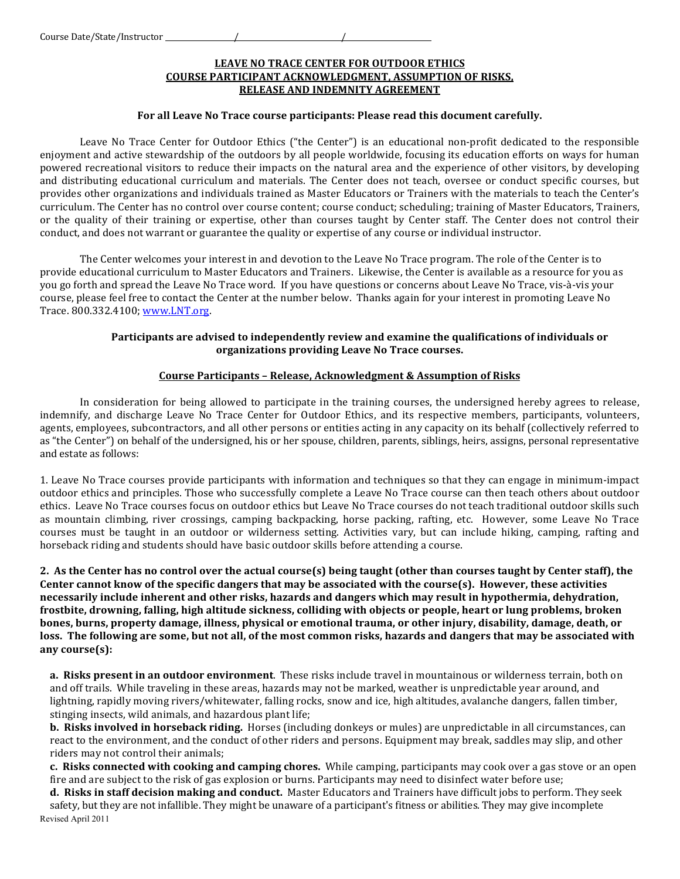# **LEAVE NO TRACE CENTER FOR OUTDOOR ETHICS COURSE PARTICIPANT ACKNOWLEDGMENT, ASSUMPTION OF RISKS, RELEASE AND INDEMNITY AGREEMENT**

#### For all Leave No Trace course participants: Please read this document carefully.

Leave No Trace Center for Outdoor Ethics ("the Center") is an educational non-profit dedicated to the responsible enjoyment and active stewardship of the outdoors by all people worldwide, focusing its education efforts on ways for human powered recreational visitors to reduce their impacts on the natural area and the experience of other visitors, by developing and distributing educational curriculum and materials. The Center does not teach, oversee or conduct specific courses, but provides other organizations and individuals trained as Master Educators or Trainers with the materials to teach the Center's curriculum. The Center has no control over course content; course conduct; scheduling; training of Master Educators, Trainers, or the quality of their training or expertise, other than courses taught by Center staff. The Center does not control their conduct, and does not warrant or guarantee the quality or expertise of any course or individual instructor.

The Center welcomes your interest in and devotion to the Leave No Trace program. The role of the Center is to provide educational curriculum to Master Educators and Trainers. Likewise, the Center is available as a resource for you as you go forth and spread the Leave No Trace word. If you have questions or concerns about Leave No Trace, vis-à-vis your course, please feel free to contact the Center at the number below. Thanks again for your interest in promoting Leave No Trace. 800.332.4100; www.LNT.org.

### Participants are advised to independently review and examine the qualifications of individuals or organizations providing Leave No Trace courses.

### **Course Participants - Release, Acknowledgment & Assumption of Risks**

In consideration for being allowed to participate in the training courses, the undersigned hereby agrees to release, indemnify, and discharge Leave No Trace Center for Outdoor Ethics, and its respective members, participants, volunteers, agents, employees, subcontractors, and all other persons or entities acting in any capacity on its behalf (collectively referred to as "the Center") on behalf of the undersigned, his or her spouse, children, parents, siblings, heirs, assigns, personal representative and estate as follows:

1. Leave No Trace courses provide participants with information and techniques so that they can engage in minimum-impact outdoor'ethics and principles. Those who successfully complete a Leave No Trace course can then teach others about outdoor ethics. Leave No Trace courses focus on outdoor ethics but Leave No Trace courses do not teach traditional outdoor skills such as mountain climbing, river crossings, camping backpacking, horse packing, rafting, etc. However, some Leave No Trace courses must be taught in an outdoor or wilderness setting. Activities vary, but can include hiking, camping, rafting and horseback riding and students should have basic outdoor's kills before attending a course.

**2. As the Center has no control over the actual course(s) being taught (other than courses taught by Center staff), the** Center cannot know of the specific dangers that may be associated with the course(s). However, these activities necessarily include inherent and other risks, hazards and dangers which may result in hypothermia, dehydration, frostbite, drowning, falling, high altitude sickness, colliding with objects or people, heart or lung problems, broken bones, burns, property damage, illness, physical or emotional trauma, or other injury, disability, damage, death, or loss. The following are some, but not all, of the most common risks, hazards and dangers that may be associated with **any!course(s):**

**a. Risks present in an outdoor environment**. These risks include travel in mountainous or wilderness terrain, both on and off trails. While traveling in these areas, hazards may not be marked, weather is unpredictable year around, and lightning, rapidly moving rivers/whitewater, falling rocks, snow and ice, high altitudes, avalanche dangers, fallen timber, stinging insects, wild animals, and hazardous plant life;

**b. Risks involved in horseback riding.** Horses (including donkeys or mules) are unpredictable in all circumstances, can react to the environment, and the conduct of other riders and persons. Equipment may break, saddles may slip, and other riders may not control their animals;

**c. Risks connected with cooking and camping chores.** While camping, participants may cook over a gas stove or an open fire and are subject to the risk of gas explosion or burns. Participants may need to disinfect water before use;

Revised April 2011 **d. Risks in staff decision making and conduct.** Master Educators and Trainers have difficult jobs to perform. They seek safety, but they are not infallible. They might be unaware of a participant's fitness or abilities. They may give incomplete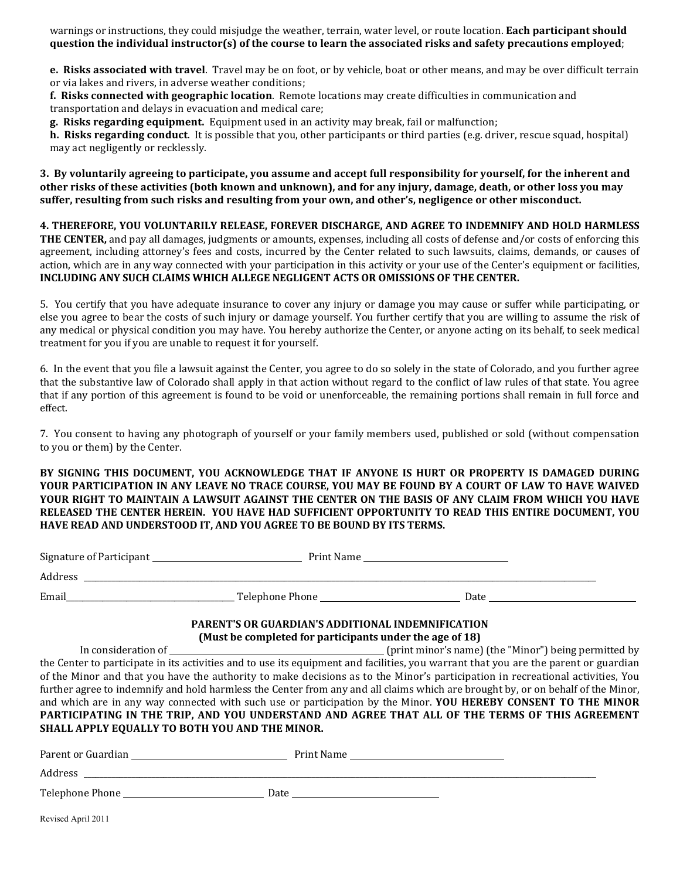warnings or instructions, they could misjudge the weather, terrain, water level, or route location. **Each participant should question the individual instructor(s) of the course to learn the associated risks and safety precautions employed;** 

**e. Risks associated with travel**. Travel may be on foot, or by vehicle, boat or other means, and may be over difficult terrain or via lakes and rivers, in adverse weather conditions;

**f. Risks connected with geographic location**. Remote locations may create difficulties in communication and transportation and delays in evacuation and medical care;

**g. Risks regarding equipment.** Equipment used in an activity may break, fail or malfunction;

**h. Risks regarding conduct**. It is possible that you, other participants or third parties (e.g. driver, rescue squad, hospital) may act negligently or recklessly.

3. By voluntarily agreeing to participate, you assume and accept full responsibility for yourself, for the inherent and other risks of these activities (both known and unknown), and for any injury, damage, death, or other loss you may suffer, resulting from such risks and resulting from your own, and other's, negligence or other misconduct.

## **4. THEREFORE, YOU VOLUNTARILY RELEASE, FOREVER DISCHARGE, AND AGREE TO INDEMNIFY AND HOLD HARMLESS**

**THE CENTER,** and pay all damages, judgments or amounts, expenses, including all costs of defense and/or costs of enforcing this agreement, including attorney's fees and costs, incurred by the Center related to such lawsuits, claims, demands, or causes of action, which are in any way connected with your participation in this activity or your use of the Center's equipment or facilities, **INCLUDING ANY SUCH CLAIMS WHICH ALLEGE NEGLIGENT ACTS OR OMISSIONS OF THE CENTER.** 

5. You certify that you have adequate insurance to cover any injury or damage you may cause or suffer while participating, or else you agree to bear the costs of such injury or damage yourself. You further certify that you are willing to assume the risk of any medical or physical condition you may have. You hereby authorize the Center, or anyone acting on its behalf, to seek medical treatment for you if you are unable to request it for yourself.

6. In the event that you file a lawsuit against the Center, you agree to do so solely in the state of Colorado, and you further agree that the substantive law of Colorado shall apply in that action without regard to the conflict of law rules of that state. You agree that if any portion of this agreement is found to be void or unenforceable, the remaining portions shall remain in full force and effect.

7. You consent to having any photograph of yourself or your family members used, published or sold (without compensation to you or them) by the Center.

BY SIGNING THIS DOCUMENT, YOU ACKNOWLEDGE THAT IF ANYONE IS HURT OR PROPERTY IS DAMAGED DURING YOUR PARTICIPATION IN ANY LEAVE NO TRACE COURSE, YOU MAY BE FOUND BY A COURT OF LAW TO HAVE WAIVED YOUR RIGHT TO MAINTAIN A LAWSUIT AGAINST THE CENTER ON THE BASIS OF ANY CLAIM FROM WHICH YOU HAVE RELEASED THE CENTER HEREIN. YOU HAVE HAD SUFFICIENT OPPORTUNITY TO READ THIS ENTIRE DOCUMENT, YOU HAVE READ AND UNDERSTOOD IT, AND YOU AGREE TO BE BOUND BY ITS TERMS.

| Print Name      |      |
|-----------------|------|
|                 |      |
| Telephone Phone | Date |
|                 |      |

## PARENT'S OR GUARDIAN'S ADDITIONAL INDEMNIFICATION (Must be completed for participants under the age of 18)

In consideration of  $\blacksquare'$  (print minor's name) (the "Minor") being permitted by the Center to participate in its activities and to use its equipment and facilities, you warrant that you are the parent or guardian of the Minor and that you have the authority to make decisions as to the Minor's participation in recreational activities, You further agree to indemnify and hold harmless the Center from any and all claims which are brought by, or on behalf of the Minor, and which are in any way connected with such use or participation by the Minor. YOU HEREBY CONSENT TO THE MINOR PARTICIPATING IN THE TRIP, AND YOU UNDERSTAND AND AGREE THAT ALL OF THE TERMS OF THIS AGREEMENT **SHALL APPLY EQUALLY TO BOTH YOU AND THE MINOR.** 

| Parent or Guardian | Print Name |
|--------------------|------------|
| Address            |            |
| Telephone Phone    | Date       |

Revised April 2011